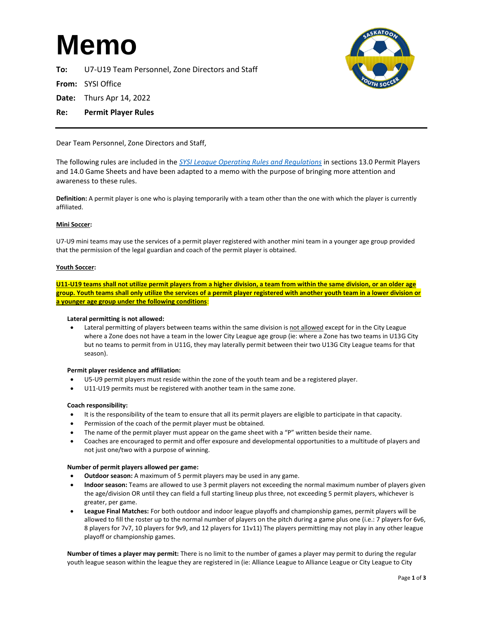# **Memo**

**To:** U7-U19 Team Personnel, Zone Directors and Staff

**From:** SYSI Office

- **Date:** Thurs Apr 14, 2022
- **Re: Permit Player Rules**

Dear Team Personnel, Zone Directors and Staff,

The following rules are included in the *[SYSI League Operating Rules and Regulations](http://saskatoonyouthsoccer.ca/category/1821/Outdoor-Rules)* in sections 13.0 Permit Players and 14.0 Game Sheets and have been adapted to a memo with the purpose of bringing more attention and awareness to these rules.

**Definition:** A permit player is one who is playing temporarily with a team other than the one with which the player is currently affiliated.

# **Mini Soccer:**

U7-U9 mini teams may use the services of a permit player registered with another mini team in a younger age group provided that the permission of the legal guardian and coach of the permit player is obtained.

### **Youth Soccer:**

**U11-U19 teams shall not utilize permit players from a higher division, a team from within the same division, or an older age group. Youth teams shall only utilize the services of a permit player registered with another youth team in a lower division or a younger age group under the following conditions**:

# **Lateral permitting is not allowed:**

• Lateral permitting of players between teams within the same division is not allowed except for in the City League where a Zone does not have a team in the lower City League age group (ie: where a Zone has two teams in U13G City but no teams to permit from in U11G, they may laterally permit between their two U13G City League teams for that season).

#### **Permit player residence and affiliation:**

- U5-U9 permit players must reside within the zone of the youth team and be a registered player.
- U11-U19 permits must be registered with another team in the same zone.

#### **Coach responsibility:**

- It is the responsibility of the team to ensure that all its permit players are eligible to participate in that capacity.
- Permission of the coach of the permit player must be obtained.
- The name of the permit player must appear on the game sheet with a "P" written beside their name.
- Coaches are encouraged to permit and offer exposure and developmental opportunities to a multitude of players and not just one/two with a purpose of winning.

#### **Number of permit players allowed per game:**

- **Outdoor season:** A maximum of 5 permit players may be used in any game.
- **Indoor season:** Teams are allowed to use 3 permit players not exceeding the normal maximum number of players given the age/division OR until they can field a full starting lineup plus three, not exceeding 5 permit players, whichever is greater, per game.
- **League Final Matches:** For both outdoor and indoor league playoffs and championship games, permit players will be allowed to fill the roster up to the normal number of players on the pitch during a game plus one (i.e.: 7 players for 6v6, 8 players for 7v7, 10 players for 9v9, and 12 players for 11v11) The players permitting may not play in any other league playoff or championship games.

**Number of times a player may permit:** There is no limit to the number of games a player may permit to during the regular youth league season within the league they are registered in (ie: Alliance League to Alliance League or City League to City

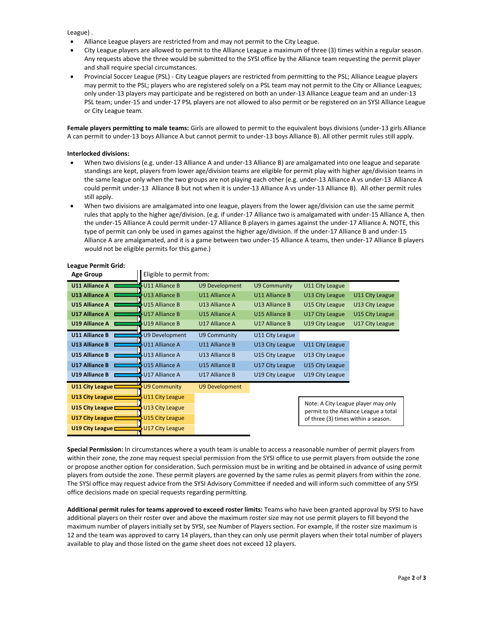League) .

• Alliance League players are restricted from and may not permit to the City League.

**Age Group** Eligible to permit from:

- City League players are allowed to permit to the Alliance League a maximum of three (3) times within a regular season. Any requests above the three would be submitted to the SYSI office by the Alliance team requesting the permit player and shall require special circumstances.
- Provincial Soccer League (PSL) City League players are restricted from permitting to the PSL; Alliance League players may permit to the PSL; players who are registered solely on a PSL team may not permit to the City or Alliance Leagues; only under-13 players may participate and be registered on both an under-13 Alliance League team and an under-13 PSL team; under-15 and under-17 PSL players are not allowed to also permit or be registered on an SYSI Alliance League or City League team.

**Female players permitting to male teams:** Girls are allowed to permit to the equivalent boys divisions (under-13 girls Alliance A can permit to under-13 boys Alliance A but cannot permit to under-13 boys Alliance B). All other permit rules still apply.

## **Interlocked divisions:**

- When two divisions (e.g. under-13 Alliance A and under-13 Alliance B) are amalgamated into one league and separate standings are kept, players from lower age/division teams are eligible for permit play with higher age/division teams in the same league only when the two groups are not playing each other (e.g. under-13 Alliance A vs under-13 Alliance A could permit under-13 Alliance B but not when it is under-13 Alliance A vs under-13 Alliance B). All other permit rules still apply.
- When two divisions are amalgamated into one league, players from the lower age/division can use the same permit rules that apply to the higher age/division. (e.g. if under-17 Alliance two is amalgamated with under-15 Alliance A, then the under-15 Alliance A could permit under-17 Alliance B players in games against the under-17 Alliance A. NOTE, this type of permit can only be used in games against the higher age/division. If the under-17 Alliance B and under-15 Alliance A are amalgamated, and it is a game between two under-15 Alliance A teams, then under-17 Alliance B players would not be eligible permits for this game.)

| Age Group                 | Eligible to permit from. |                       |                 |                                                                                                                     |                 |
|---------------------------|--------------------------|-----------------------|-----------------|---------------------------------------------------------------------------------------------------------------------|-----------------|
| <b>U11 Alliance A</b>     | U11 Alliance B           | U9 Development        | U9 Community    | U11 City League                                                                                                     |                 |
| <b>U13 Alliance A</b>     | U13 Alliance B           | U11 Alliance A        | U11 Alliance B  | U13 City League                                                                                                     | U11 City League |
| U15 Alliance A            | U15 Alliance B           | U13 Alliance A        | U13 Alliance B  | U15 City League                                                                                                     | U13 City League |
| <b>U17 Alliance A</b>     | <b>U17 Alliance B</b>    | U15 Alliance A        | U15 Alliance B  | U17 City League                                                                                                     | U15 City League |
| <b>U19 Alliance A</b>     | U19 Alliance B           | U17 Alliance A        | U17 Alliance B  | U19 City League                                                                                                     | U17 City League |
| <b>U11 Alliance B</b>     | U9 Development           | U9 Community          | U11 City League |                                                                                                                     |                 |
| <b>U13 Alliance B</b>     | U11 Alliance A           | U11 Alliance B        | U13 City League | U11 City League                                                                                                     |                 |
| <b>U15 Alliance B</b>     | U13 Alliance A           | U13 Alliance B        | U15 City League | U13 City League                                                                                                     |                 |
| <b>U17 Alliance B</b>     | U15 Alliance A           | U15 Alliance B        | U17 City League | U15 City League                                                                                                     |                 |
| <b>U19 Alliance B</b>     | U17 Alliance A           | U17 Alliance B        | U19 City League | U19 City League                                                                                                     |                 |
| U11 City League $\Box$    | <b>U9 Community</b>      | <b>U9 Development</b> |                 |                                                                                                                     |                 |
| U13 City League $\Box$    | <b>U11 City League</b>   |                       |                 |                                                                                                                     |                 |
| U15 City League $\Box$    | U13 City League          |                       |                 | Note: A City League player may only<br>permit to the Alliance League a total<br>of three (3) times within a season. |                 |
| U17 City League $\square$ | <b>U15 City League</b>   |                       |                 |                                                                                                                     |                 |
| U19 City League L         | U17 City League          |                       |                 |                                                                                                                     |                 |

# **League Permit Grid:**

**Special Permission:** In circumstances where a youth team is unable to access a reasonable number of permit players from within their zone, the zone may request special permission from the SYSI office to use permit players from outside the zone or propose another option for consideration. Such permission must be in writing and be obtained in advance of using permit players from outside the zone. These permit players are governed by the same rules as permit players from within the zone. The SYSI office may request advice from the SYSI Advisory Committee if needed and will inform such committee of any SYSI office decisions made on special requests regarding permitting.

**Additional permit rules for teams approved to exceed roster limits:** Teams who have been granted approval by SYSI to have additional players on their roster over and above the maximum roster size may not use permit players to fill beyond the maximum number of players initially set by SYSI, see Number of Players section. For example, if the roster size maximum is 12 and the team was approved to carry 14 players, than they can only use permit players when their total number of players available to play and those listed on the game sheet does not exceed 12 players.